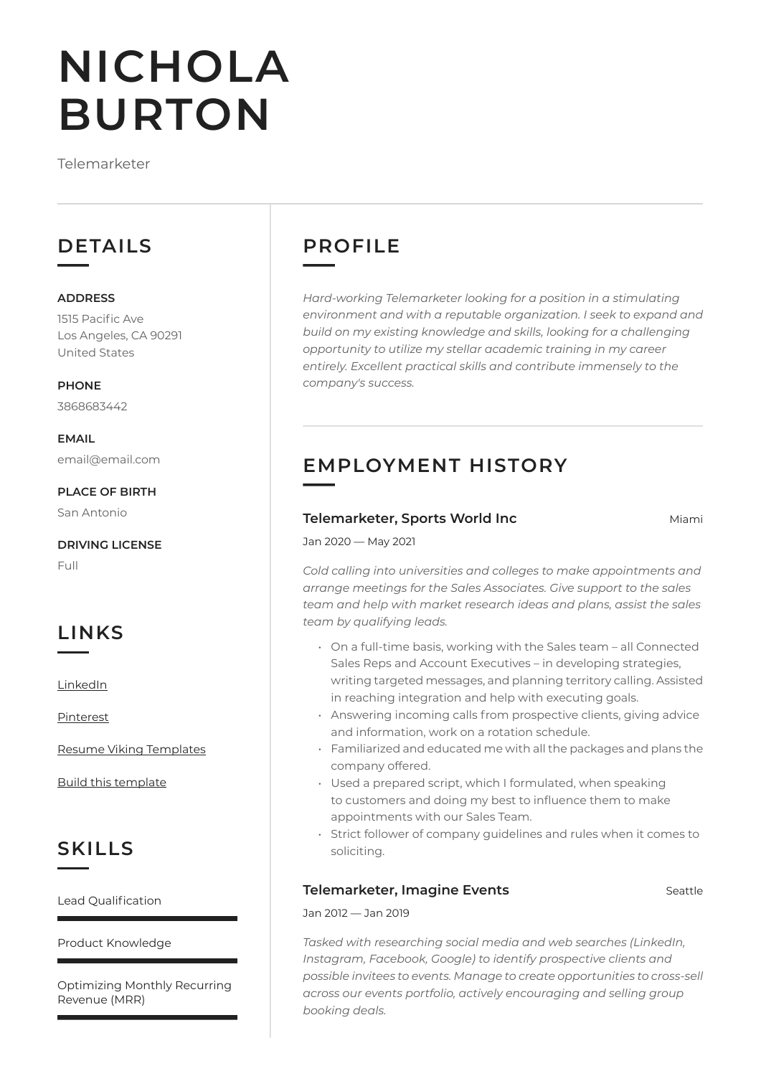# **NICHOLA BURTON**

Telemarketer

## **DETAILS**

#### **ADDRESS**

1515 Pacific Ave Los Angeles, CA 90291 United States

**PHONE** 3868683442

**EMAIL** email@email.com

**PLACE OF BIRTH** San Antonio

**DRIVING LICENSE**

Full

# **LINKS**

[LinkedIn](https://www.linkedin.com/)

[Pinterest](https://www.pinterest.es/resumeviking/)

[Resume Viking Templates](https://www.resumeviking.com/templates/word/)

[Build this template](https://resume.io/?id=cpdokyF1)

# **SKILLS**

Lead Qualification

Product Knowledge

Optimizing Monthly Recurring Revenue (MRR)

# **PROFILE**

*Hard-working Telemarketer looking for a position in a stimulating environment and with a reputable organization. I seek to expand and build on my existing knowledge and skills, looking for a challenging opportunity to utilize my stellar academic training in my career entirely. Excellent practical skills and contribute immensely to the company's success.*

# **EMPLOYMENT HISTORY**

#### **Telemarketer, Sports World Inc Miami** Miami

Jan 2020 — May 2021

*Cold calling into universities and colleges to make appointments and arrange meetings for the Sales Associates. Give support to the sales team and help with market research ideas and plans, assist the sales team by qualifying leads.*

- On a full-time basis, working with the Sales team all Connected Sales Reps and Account Executives – in developing strategies, writing targeted messages, and planning territory calling. Assisted in reaching integration and help with executing goals.
- Answering incoming calls from prospective clients, giving advice and information, work on a rotation schedule.
- Familiarized and educated me with all the packages and plans the company offered.
- Used a prepared script, which I formulated, when speaking to customers and doing my best to influence them to make appointments with our Sales Team.
- Strict follower of company guidelines and rules when it comes to soliciting.

#### **Telemarketer, Imagine Events Seattle**

Jan 2012 — Jan 2019

*Tasked with researching social media and web searches (LinkedIn, Instagram, Facebook, Google) to identify prospective clients and possible invitees to events. Manage to create opportunities to cross-sell across our events portfolio, actively encouraging and selling group booking deals.*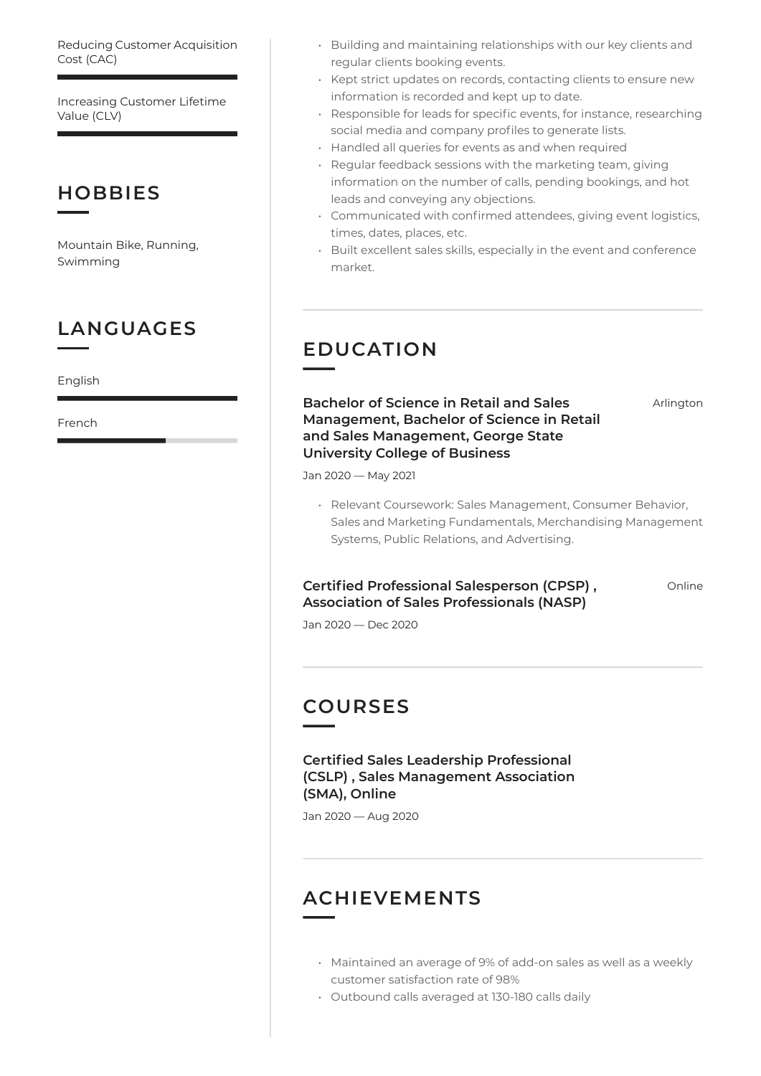Reducing Customer Acquisition Cost (CAC)

Increasing Customer Lifetime Value (CLV)

## **HOBBIES**

Mountain Bike, Running, Swimming

## **LANGUAGES**

English

French

- Building and maintaining relationships with our key clients and regular clients booking events.
- Kept strict updates on records, contacting clients to ensure new information is recorded and kept up to date.
- Responsible for leads for specific events, for instance, researching social media and company profiles to generate lists.
- Handled all queries for events as and when required
- Regular feedback sessions with the marketing team, giving information on the number of calls, pending bookings, and hot leads and conveying any objections.
- Communicated with confirmed attendees, giving event logistics, times, dates, places, etc.
- Built excellent sales skills, especially in the event and conference market.

## **EDUCATION**

**Bachelor of Science in Retail and Sales Management, Bachelor of Science in Retail and Sales Management, George State University College of Business**

Arlington

Jan 2020 — May 2021

• Relevant Coursework: Sales Management, Consumer Behavior, Sales and Marketing Fundamentals, Merchandising Management Systems, Public Relations, and Advertising.

#### **Certified Professional Salesperson (CPSP) , Association of Sales Professionals (NASP)**

Online

Jan 2020 — Dec 2020

## **COURSES**

**Certified Sales Leadership Professional (CSLP) , Sales Management Association (SMA), Online**

Jan 2020 — Aug 2020

## **ACHIEVEMENTS**

- Maintained an average of 9% of add-on sales as well as a weekly customer satisfaction rate of 98%
- Outbound calls averaged at 130-180 calls daily